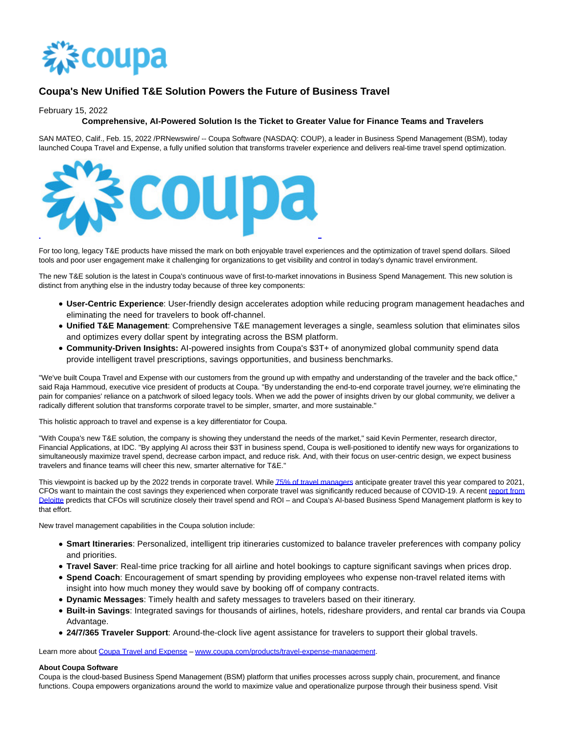

## **Coupa's New Unified T&E Solution Powers the Future of Business Travel**

February 15, 2022

## **Comprehensive, AI-Powered Solution Is the Ticket to Greater Value for Finance Teams and Travelers**

SAN MATEO, Calif., Feb. 15, 2022 /PRNewswire/ -- Coupa Software (NASDAQ: COUP), a leader in Business Spend Management (BSM), today launched Coupa Travel and Expense, a fully unified solution that transforms traveler experience and delivers real-time travel spend optimization.



For too long, legacy T&E products have missed the mark on both enjoyable travel experiences and the optimization of travel spend dollars. Siloed tools and poor user engagement make it challenging for organizations to get visibility and control in today's dynamic travel environment.

The new T&E solution is the latest in Coupa's continuous wave of first-to-market innovations in Business Spend Management. This new solution is distinct from anything else in the industry today because of three key components:

- **User-Centric Experience**: User-friendly design accelerates adoption while reducing program management headaches and eliminating the need for travelers to book off-channel.
- **Unified T&E Management**: Comprehensive T&E management leverages a single, seamless solution that eliminates silos and optimizes every dollar spent by integrating across the BSM platform.
- **Community-Driven Insights:** AI-powered insights from Coupa's \$3T+ of anonymized global community spend data provide intelligent travel prescriptions, savings opportunities, and business benchmarks.

"We've built Coupa Travel and Expense with our customers from the ground up with empathy and understanding of the traveler and the back office," said Raja Hammoud, executive vice president of products at Coupa. "By understanding the end-to-end corporate travel journey, we're eliminating the pain for companies' reliance on a patchwork of siloed legacy tools. When we add the power of insights driven by our global community, we deliver a radically different solution that transforms corporate travel to be simpler, smarter, and more sustainable."

This holistic approach to travel and expense is a key differentiator for Coupa.

"With Coupa's new T&E solution, the company is showing they understand the needs of the market," said Kevin Permenter, research director, Financial Applications, at IDC. "By applying AI across their \$3T in business spend, Coupa is well-positioned to identify new ways for organizations to simultaneously maximize travel spend, decrease carbon impact, and reduce risk. And, with their focus on user-centric design, we expect business travelers and finance teams will cheer this new, smarter alternative for T&E."

This viewpoint is backed up by the 2022 trends in corporate travel. Whil[e 75% of travel managers a](https://c212.net/c/link/?t=0&l=en&o=3443725-1&h=3016300188&u=https%3A%2F%2Fwww.gbta.org%2Fblog%2Flong-term-global-business-travel-outlook-remains-strong-but-omicron-variant-dampens-near-term-momentum%2F&a=75%25+of+travel+managers)nticipate greater travel this year compared to 2021, CFOs want to maintain the cost savings they experienced when corporate travel was significantly reduced because of COVID-19. A recent [report from](https://c212.net/c/link/?t=0&l=en&o=3443725-1&h=1149583853&u=https%3A%2F%2Fwww2.deloitte.com%2Fus%2Fen%2Fpages%2Fconsumer-business%2Farticles%2Ftravel-hospitality-industry-outlook.html&a=report+from+Deloitte) Deloitte predicts that CFOs will scrutinize closely their travel spend and ROI – and Coupa's AI-based Business Spend Management platform is key to that effort.

New travel management capabilities in the Coupa solution include:

- **Smart Itineraries**: Personalized, intelligent trip itineraries customized to balance traveler preferences with company policy and priorities.
- **Travel Saver**: Real-time price tracking for all airline and hotel bookings to capture significant savings when prices drop.
- **Spend Coach**: Encouragement of smart spending by providing employees who expense non-travel related items with insight into how much money they would save by booking off of company contracts.
- **Dynamic Messages**: Timely health and safety messages to travelers based on their itinerary.
- **Built-in Savings**: Integrated savings for thousands of airlines, hotels, rideshare providers, and rental car brands via Coupa Advantage.
- **24/7/365 Traveler Support**: Around-the-clock live agent assistance for travelers to support their global travels.

Learn more about [Coupa Travel and Expense –](https://c212.net/c/link/?t=0&l=en&o=3443725-1&h=2029024499&u=http%3A%2F%2Fwww.coupa.com%2Fproducts%2Ftravel-expense-management&a=Coupa+Travel+and+Expense) [www.coupa.com/products/travel-expense-management.](https://c212.net/c/link/?t=0&l=en&o=3443725-1&h=279157368&u=http%3A%2F%2Fwww.coupa.com%2Fproducts%2Ftravel-expense-management&a=www.coupa.com%2Fproducts%2Ftravel-expense-management)

## **About Coupa Software**

Coupa is the cloud-based Business Spend Management (BSM) platform that unifies processes across supply chain, procurement, and finance functions. Coupa empowers organizations around the world to maximize value and operationalize purpose through their business spend. Visit